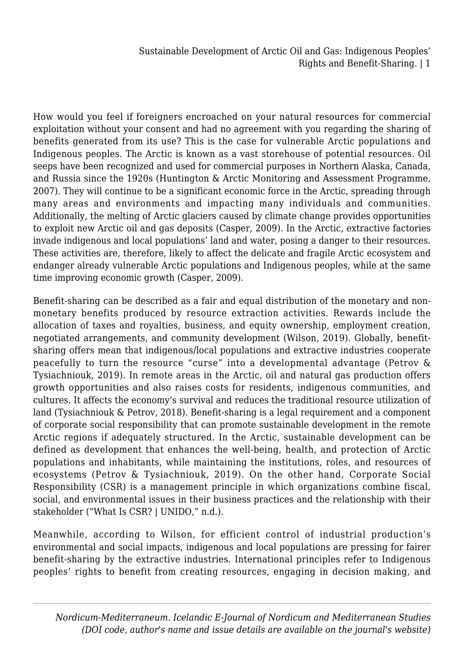How would you feel if foreigners encroached on your natural resources for commercial exploitation without your consent and had no agreement with you regarding the sharing of benefits generated from its use? This is the case for vulnerable Arctic populations and Indigenous peoples. The Arctic is known as a vast storehouse of potential resources. Oil seeps have been recognized and used for commercial purposes in Northern Alaska, Canada, and Russia since the 1920s (Huntington & Arctic Monitoring and Assessment Programme, 2007). They will continue to be a significant economic force in the Arctic, spreading through many areas and environments and impacting many individuals and communities. Additionally, the melting of Arctic glaciers caused by climate change provides opportunities to exploit new Arctic oil and gas deposits (Casper, 2009). In the Arctic, extractive factories invade indigenous and local populations' land and water, posing a danger to their resources. These activities are, therefore, likely to affect the delicate and fragile Arctic ecosystem and endanger already vulnerable Arctic populations and Indigenous peoples, while at the same time improving economic growth (Casper, 2009).

Benefit-sharing can be described as a fair and equal distribution of the monetary and nonmonetary benefits produced by resource extraction activities. Rewards include the allocation of taxes and royalties, business, and equity ownership, employment creation, negotiated arrangements, and community development (Wilson, 2019). Globally, benefitsharing offers mean that indigenous/local populations and extractive industries cooperate peacefully to turn the resource "curse" into a developmental advantage (Petrov & Tysiachniouk, 2019). In remote areas in the Arctic, oil and natural gas production offers growth opportunities and also raises costs for residents, indigenous communities, and cultures. It affects the economy's survival and reduces the traditional resource utilization of land (Tysiachniouk & Petrov, 2018). Benefit-sharing is a legal requirement and a component of corporate social responsibility that can promote sustainable development in the remote Arctic regions if adequately structured. In the Arctic, sustainable development can be defined as development that enhances the well-being, health, and protection of Arctic populations and inhabitants, while maintaining the institutions, roles, and resources of ecosystems (Petrov & Tysiachniouk, 2019). On the other hand, Corporate Social Responsibility (CSR) is a management principle in which organizations combine fiscal, social, and environmental issues in their business practices and the relationship with their stakeholder ("What Is CSR? | UNIDO," n.d.).

Meanwhile, according to Wilson, for efficient control of industrial production's environmental and social impacts, indigenous and local populations are pressing for fairer benefit-sharing by the extractive industries. International principles refer to Indigenous peoples' rights to benefit from creating resources, engaging in decision making, and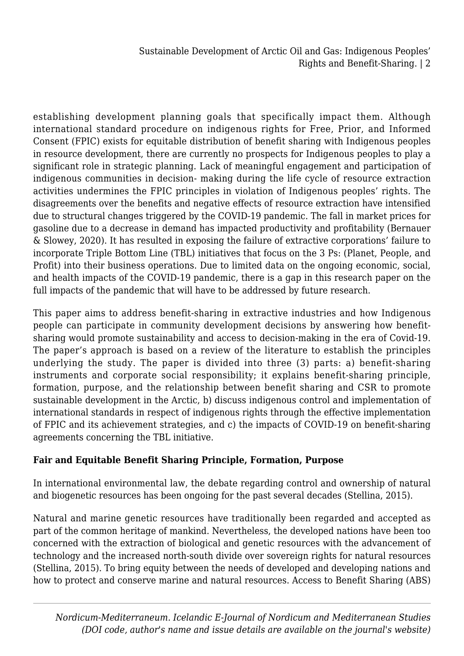establishing development planning goals that specifically impact them. Although international standard procedure on indigenous rights for Free, Prior, and Informed Consent (FPIC) exists for equitable distribution of benefit sharing with Indigenous peoples in resource development, there are currently no prospects for Indigenous peoples to play a significant role in strategic planning. Lack of meaningful engagement and participation of indigenous communities in decision- making during the life cycle of resource extraction activities undermines the FPIC principles in violation of Indigenous peoples' rights. The disagreements over the benefits and negative effects of resource extraction have intensified due to structural changes triggered by the COVID-19 pandemic. The fall in market prices for gasoline due to a decrease in demand has impacted productivity and profitability (Bernauer & Slowey, 2020). It has resulted in exposing the failure of extractive corporations' failure to incorporate Triple Bottom Line (TBL) initiatives that focus on the 3 Ps: (Planet, People, and Profit) into their business operations. Due to limited data on the ongoing economic, social, and health impacts of the COVID-19 pandemic, there is a gap in this research paper on the full impacts of the pandemic that will have to be addressed by future research.

This paper aims to address benefit-sharing in extractive industries and how Indigenous people can participate in community development decisions by answering how benefitsharing would promote sustainability and access to decision-making in the era of Covid-19. The paper's approach is based on a review of the literature to establish the principles underlying the study. The paper is divided into three (3) parts: a) benefit-sharing instruments and corporate social responsibility; it explains benefit-sharing principle, formation, purpose, and the relationship between benefit sharing and CSR to promote sustainable development in the Arctic, b) discuss indigenous control and implementation of international standards in respect of indigenous rights through the effective implementation of FPIC and its achievement strategies, and c) the impacts of COVID-19 on benefit-sharing agreements concerning the TBL initiative.

#### **Fair and Equitable Benefit Sharing Principle, Formation, Purpose**

In international environmental law, the debate regarding control and ownership of natural and biogenetic resources has been ongoing for the past several decades (Stellina, 2015).

Natural and marine genetic resources have traditionally been regarded and accepted as part of the common heritage of mankind. Nevertheless, the developed nations have been too concerned with the extraction of biological and genetic resources with the advancement of technology and the increased north-south divide over sovereign rights for natural resources (Stellina, 2015). To bring equity between the needs of developed and developing nations and how to protect and conserve marine and natural resources. Access to Benefit Sharing (ABS)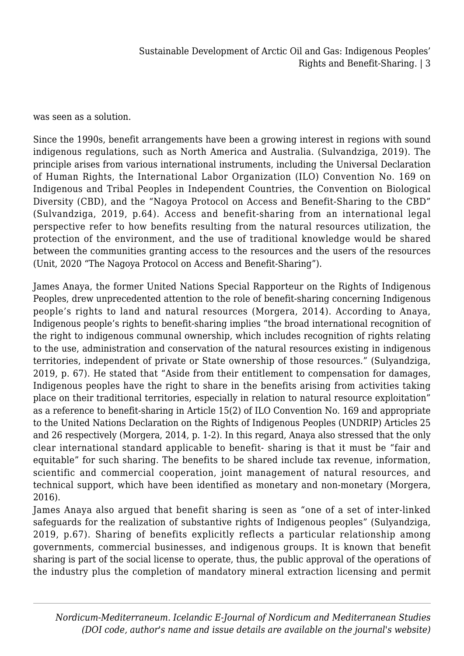was seen as a solution.

Since the 1990s, benefit arrangements have been a growing interest in regions with sound indigenous regulations, such as North America and Australia. (Sulvandziga, 2019). The principle arises from various international instruments, including the Universal Declaration of Human Rights, the International Labor Organization (ILO) Convention No. 169 on Indigenous and Tribal Peoples in Independent Countries, the Convention on Biological Diversity (CBD), and the "Nagoya Protocol on Access and Benefit-Sharing to the CBD" (Sulvandziga, 2019, p.64). Access and benefit-sharing from an international legal perspective refer to how benefits resulting from the natural resources utilization, the protection of the environment, and the use of traditional knowledge would be shared between the communities granting access to the resources and the users of the resources (Unit, 2020 "The Nagoya Protocol on Access and Benefit-Sharing").

James Anaya, the former United Nations Special Rapporteur on the Rights of Indigenous Peoples, drew unprecedented attention to the role of benefit-sharing concerning Indigenous people's rights to land and natural resources (Morgera, 2014). According to Anaya, Indigenous people's rights to benefit-sharing implies "the broad international recognition of the right to indigenous communal ownership, which includes recognition of rights relating to the use, administration and conservation of the natural resources existing in indigenous territories, independent of private or State ownership of those resources." (Sulyandziga, 2019, p. 67). He stated that "Aside from their entitlement to compensation for damages, Indigenous peoples have the right to share in the benefits arising from activities taking place on their traditional territories, especially in relation to natural resource exploitation" as a reference to benefit-sharing in Article 15(2) of ILO Convention No. 169 and appropriate to the United Nations Declaration on the Rights of Indigenous Peoples (UNDRIP) Articles 25 and 26 respectively (Morgera, 2014, p. 1-2). In this regard, Anaya also stressed that the only clear international standard applicable to benefit- sharing is that it must be "fair and equitable" for such sharing. The benefits to be shared include tax revenue, information, scientific and commercial cooperation, joint management of natural resources, and technical support, which have been identified as monetary and non-monetary (Morgera, 2016).

James Anaya also argued that benefit sharing is seen as "one of a set of inter-linked safeguards for the realization of substantive rights of Indigenous peoples" (Sulyandziga, 2019, p.67). Sharing of benefits explicitly reflects a particular relationship among governments, commercial businesses, and indigenous groups. It is known that benefit sharing is part of the social license to operate, thus, the public approval of the operations of the industry plus the completion of mandatory mineral extraction licensing and permit

*Nordicum-Mediterraneum. Icelandic E-Journal of Nordicum and Mediterranean Studies (DOI code, author's name and issue details are available on the journal's website)*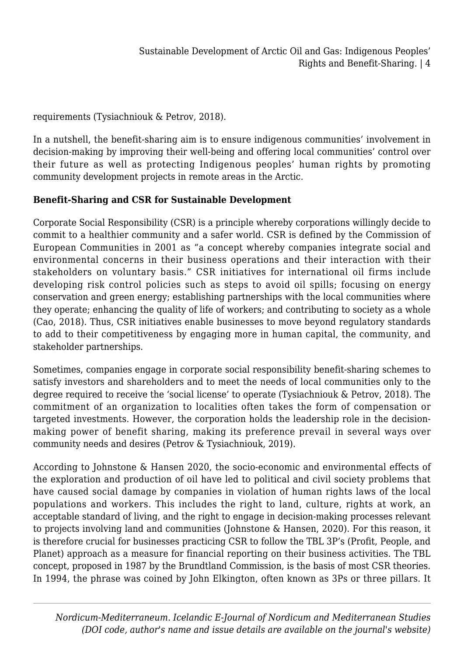requirements (Tysiachniouk & Petrov, 2018).

In a nutshell, the benefit-sharing aim is to ensure indigenous communities' involvement in decision-making by improving their well-being and offering local communities' control over their future as well as protecting Indigenous peoples' human rights by promoting community development projects in remote areas in the Arctic.

#### **Benefit-Sharing and CSR for Sustainable Development**

Corporate Social Responsibility (CSR) is a principle whereby corporations willingly decide to commit to a healthier community and a safer world. CSR is defined by the Commission of European Communities in 2001 as "a concept whereby companies integrate social and environmental concerns in their business operations and their interaction with their stakeholders on voluntary basis." CSR initiatives for international oil firms include developing risk control policies such as steps to avoid oil spills; focusing on energy conservation and green energy; establishing partnerships with the local communities where they operate; enhancing the quality of life of workers; and contributing to society as a whole (Cao, 2018). Thus, CSR initiatives enable businesses to move beyond regulatory standards to add to their competitiveness by engaging more in human capital, the community, and stakeholder partnerships.

Sometimes, companies engage in corporate social responsibility benefit-sharing schemes to satisfy investors and shareholders and to meet the needs of local communities only to the degree required to receive the 'social license' to operate (Tysiachniouk & Petrov, 2018). The commitment of an organization to localities often takes the form of compensation or targeted investments. However, the corporation holds the leadership role in the decisionmaking power of benefit sharing, making its preference prevail in several ways over community needs and desires (Petrov & Tysiachniouk, 2019).

According to Johnstone & Hansen 2020, the socio-economic and environmental effects of the exploration and production of oil have led to political and civil society problems that have caused social damage by companies in violation of human rights laws of the local populations and workers. This includes the right to land, culture, rights at work, an acceptable standard of living, and the right to engage in decision-making processes relevant to projects involving land and communities (Johnstone & Hansen, 2020). For this reason, it is therefore crucial for businesses practicing CSR to follow the TBL 3P's (Profit, People, and Planet) approach as a measure for financial reporting on their business activities. The TBL concept, proposed in 1987 by the Brundtland Commission, is the basis of most CSR theories. In 1994, the phrase was coined by John Elkington, often known as 3Ps or three pillars. It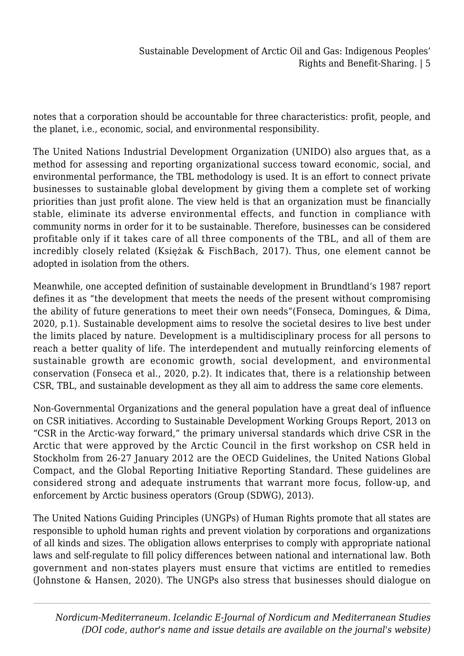notes that a corporation should be accountable for three characteristics: profit, people, and the planet, i.e., economic, social, and environmental responsibility.

The United Nations Industrial Development Organization (UNIDO) also argues that, as a method for assessing and reporting organizational success toward economic, social, and environmental performance, the TBL methodology is used. It is an effort to connect private businesses to sustainable global development by giving them a complete set of working priorities than just profit alone. The view held is that an organization must be financially stable, eliminate its adverse environmental effects, and function in compliance with community norms in order for it to be sustainable. Therefore, businesses can be considered profitable only if it takes care of all three components of the TBL, and all of them are incredibly closely related (Księżak & FischBach, 2017). Thus, one element cannot be adopted in isolation from the others.

Meanwhile, one accepted definition of sustainable development in Brundtland's 1987 report defines it as "the development that meets the needs of the present without compromising the ability of future generations to meet their own needs"(Fonseca, Domingues, & Dima, 2020, p.1). Sustainable development aims to resolve the societal desires to live best under the limits placed by nature. Development is a multidisciplinary process for all persons to reach a better quality of life. The interdependent and mutually reinforcing elements of sustainable growth are economic growth, social development, and environmental conservation (Fonseca et al., 2020, p.2). It indicates that, there is a relationship between CSR, TBL, and sustainable development as they all aim to address the same core elements.

Non-Governmental Organizations and the general population have a great deal of influence on CSR initiatives. According to Sustainable Development Working Groups Report, 2013 on "CSR in the Arctic-way forward," the primary universal standards which drive CSR in the Arctic that were approved by the Arctic Council in the first workshop on CSR held in Stockholm from 26-27 January 2012 are the OECD Guidelines, the United Nations Global Compact, and the Global Reporting Initiative Reporting Standard. These guidelines are considered strong and adequate instruments that warrant more focus, follow-up, and enforcement by Arctic business operators (Group (SDWG), 2013).

The United Nations Guiding Principles (UNGPs) of Human Rights promote that all states are responsible to uphold human rights and prevent violation by corporations and organizations of all kinds and sizes. The obligation allows enterprises to comply with appropriate national laws and self-regulate to fill policy differences between national and international law. Both government and non-states players must ensure that victims are entitled to remedies (Johnstone & Hansen, 2020). The UNGPs also stress that businesses should dialogue on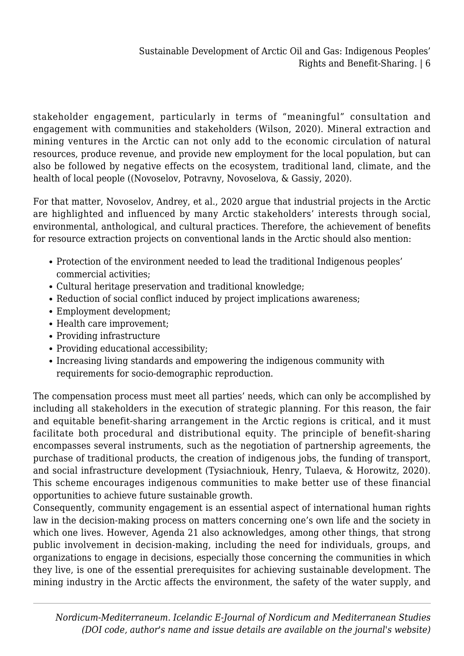stakeholder engagement, particularly in terms of "meaningful" consultation and engagement with communities and stakeholders (Wilson, 2020). Mineral extraction and mining ventures in the Arctic can not only add to the economic circulation of natural resources, produce revenue, and provide new employment for the local population, but can also be followed by negative effects on the ecosystem, traditional land, climate, and the health of local people ((Novoselov, Potravny, Novoselova, & Gassiy, 2020).

For that matter, Novoselov, Andrey, et al., 2020 argue that industrial projects in the Arctic are highlighted and influenced by many Arctic stakeholders' interests through social, environmental, anthological, and cultural practices. Therefore, the achievement of benefits for resource extraction projects on conventional lands in the Arctic should also mention:

- Protection of the environment needed to lead the traditional Indigenous peoples' commercial activities;
- Cultural heritage preservation and traditional knowledge;
- Reduction of social conflict induced by project implications awareness;
- Employment development;
- Health care improvement;
- Providing infrastructure
- Providing educational accessibility;
- Increasing living standards and empowering the indigenous community with requirements for socio-demographic reproduction.

The compensation process must meet all parties' needs, which can only be accomplished by including all stakeholders in the execution of strategic planning. For this reason, the fair and equitable benefit-sharing arrangement in the Arctic regions is critical, and it must facilitate both procedural and distributional equity. The principle of benefit-sharing encompasses several instruments, such as the negotiation of partnership agreements, the purchase of traditional products, the creation of indigenous jobs, the funding of transport, and social infrastructure development (Tysiachniouk, Henry, Tulaeva, & Horowitz, 2020). This scheme encourages indigenous communities to make better use of these financial opportunities to achieve future sustainable growth.

Consequently, community engagement is an essential aspect of international human rights law in the decision-making process on matters concerning one's own life and the society in which one lives. However, Agenda 21 also acknowledges, among other things, that strong public involvement in decision-making, including the need for individuals, groups, and organizations to engage in decisions, especially those concerning the communities in which they live, is one of the essential prerequisites for achieving sustainable development. The mining industry in the Arctic affects the environment, the safety of the water supply, and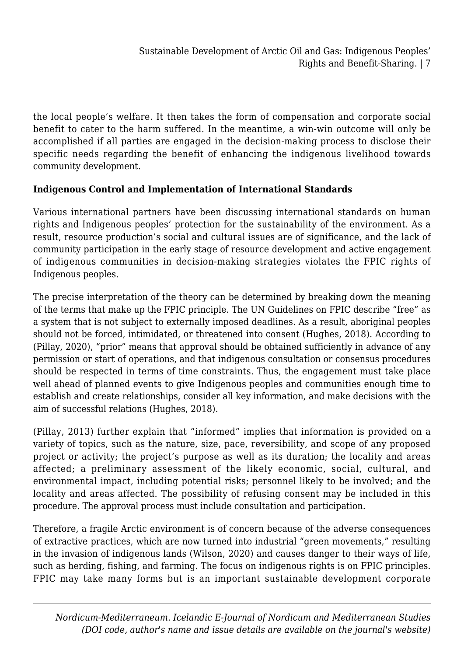the local people's welfare. It then takes the form of compensation and corporate social benefit to cater to the harm suffered. In the meantime, a win-win outcome will only be accomplished if all parties are engaged in the decision-making process to disclose their specific needs regarding the benefit of enhancing the indigenous livelihood towards community development.

# **Indigenous Control and Implementation of International Standards**

Various international partners have been discussing international standards on human rights and Indigenous peoples' protection for the sustainability of the environment. As a result, resource production's social and cultural issues are of significance, and the lack of community participation in the early stage of resource development and active engagement of indigenous communities in decision-making strategies violates the FPIC rights of Indigenous peoples.

The precise interpretation of the theory can be determined by breaking down the meaning of the terms that make up the FPIC principle. The UN Guidelines on FPIC describe "free" as a system that is not subject to externally imposed deadlines. As a result, aboriginal peoples should not be forced, intimidated, or threatened into consent (Hughes, 2018). According to (Pillay, 2020), "prior" means that approval should be obtained sufficiently in advance of any permission or start of operations, and that indigenous consultation or consensus procedures should be respected in terms of time constraints. Thus, the engagement must take place well ahead of planned events to give Indigenous peoples and communities enough time to establish and create relationships, consider all key information, and make decisions with the aim of successful relations (Hughes, 2018).

(Pillay, 2013) further explain that "informed" implies that information is provided on a variety of topics, such as the nature, size, pace, reversibility, and scope of any proposed project or activity; the project's purpose as well as its duration; the locality and areas affected; a preliminary assessment of the likely economic, social, cultural, and environmental impact, including potential risks; personnel likely to be involved; and the locality and areas affected. The possibility of refusing consent may be included in this procedure. The approval process must include consultation and participation.

Therefore, a fragile Arctic environment is of concern because of the adverse consequences of extractive practices, which are now turned into industrial "green movements," resulting in the invasion of indigenous lands (Wilson, 2020) and causes danger to their ways of life, such as herding, fishing, and farming. The focus on indigenous rights is on FPIC principles. FPIC may take many forms but is an important sustainable development corporate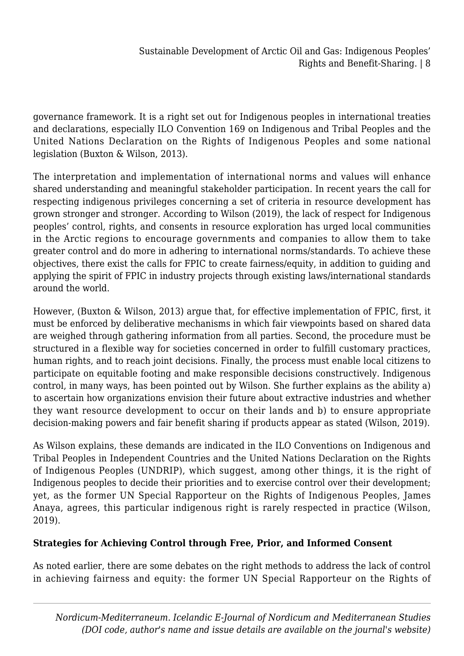governance framework. It is a right set out for Indigenous peoples in international treaties and declarations, especially ILO Convention 169 on Indigenous and Tribal Peoples and the United Nations Declaration on the Rights of Indigenous Peoples and some national legislation (Buxton & Wilson, 2013).

The interpretation and implementation of international norms and values will enhance shared understanding and meaningful stakeholder participation. In recent years the call for respecting indigenous privileges concerning a set of criteria in resource development has grown stronger and stronger. According to Wilson (2019), the lack of respect for Indigenous peoples' control, rights, and consents in resource exploration has urged local communities in the Arctic regions to encourage governments and companies to allow them to take greater control and do more in adhering to international norms/standards. To achieve these objectives, there exist the calls for FPIC to create fairness/equity, in addition to guiding and applying the spirit of FPIC in industry projects through existing laws/international standards around the world.

However, (Buxton & Wilson, 2013) argue that, for effective implementation of FPIC, first, it must be enforced by deliberative mechanisms in which fair viewpoints based on shared data are weighed through gathering information from all parties. Second, the procedure must be structured in a flexible way for societies concerned in order to fulfill customary practices, human rights, and to reach joint decisions. Finally, the process must enable local citizens to participate on equitable footing and make responsible decisions constructively. Indigenous control, in many ways, has been pointed out by Wilson. She further explains as the ability a) to ascertain how organizations envision their future about extractive industries and whether they want resource development to occur on their lands and b) to ensure appropriate decision-making powers and fair benefit sharing if products appear as stated (Wilson, 2019).

As Wilson explains, these demands are indicated in the ILO Conventions on Indigenous and Tribal Peoples in Independent Countries and the United Nations Declaration on the Rights of Indigenous Peoples (UNDRIP), which suggest, among other things, it is the right of Indigenous peoples to decide their priorities and to exercise control over their development; yet, as the former UN Special Rapporteur on the Rights of Indigenous Peoples, James Anaya, agrees, this particular indigenous right is rarely respected in practice (Wilson, 2019).

## **Strategies for Achieving Control through Free, Prior, and Informed Consent**

As noted earlier, there are some debates on the right methods to address the lack of control in achieving fairness and equity: the former UN Special Rapporteur on the Rights of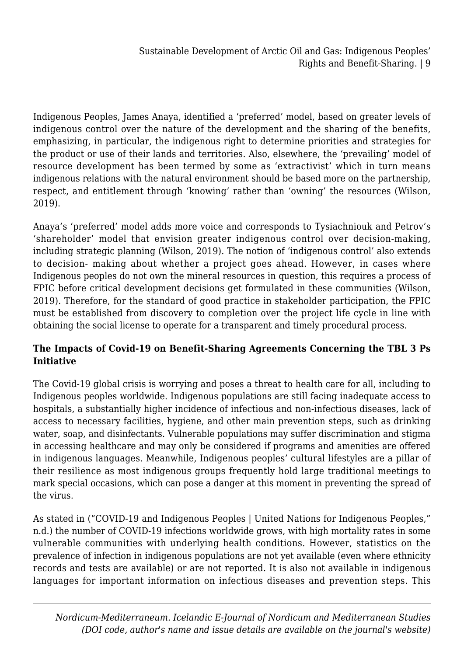Indigenous Peoples, James Anaya, identified a 'preferred' model, based on greater levels of indigenous control over the nature of the development and the sharing of the benefits, emphasizing, in particular, the indigenous right to determine priorities and strategies for the product or use of their lands and territories. Also, elsewhere, the 'prevailing' model of resource development has been termed by some as 'extractivist' which in turn means indigenous relations with the natural environment should be based more on the partnership, respect, and entitlement through 'knowing' rather than 'owning' the resources (Wilson, 2019).

Anaya's 'preferred' model adds more voice and corresponds to Tysiachniouk and Petrov's 'shareholder' model that envision greater indigenous control over decision-making, including strategic planning (Wilson, 2019). The notion of 'indigenous control' also extends to decision- making about whether a project goes ahead. However, in cases where Indigenous peoples do not own the mineral resources in question, this requires a process of FPIC before critical development decisions get formulated in these communities (Wilson, 2019). Therefore, for the standard of good practice in stakeholder participation, the FPIC must be established from discovery to completion over the project life cycle in line with obtaining the social license to operate for a transparent and timely procedural process.

# **The Impacts of Covid-19 on Benefit-Sharing Agreements Concerning the TBL 3 Ps Initiative**

The Covid-19 global crisis is worrying and poses a threat to health care for all, including to Indigenous peoples worldwide. Indigenous populations are still facing inadequate access to hospitals, a substantially higher incidence of infectious and non-infectious diseases, lack of access to necessary facilities, hygiene, and other main prevention steps, such as drinking water, soap, and disinfectants. Vulnerable populations may suffer discrimination and stigma in accessing healthcare and may only be considered if programs and amenities are offered in indigenous languages. Meanwhile, Indigenous peoples' cultural lifestyles are a pillar of their resilience as most indigenous groups frequently hold large traditional meetings to mark special occasions, which can pose a danger at this moment in preventing the spread of the virus.

As stated in ("COVID-19 and Indigenous Peoples | United Nations for Indigenous Peoples," n.d.) the number of COVID-19 infections worldwide grows, with high mortality rates in some vulnerable communities with underlying health conditions. However, statistics on the prevalence of infection in indigenous populations are not yet available (even where ethnicity records and tests are available) or are not reported. It is also not available in indigenous languages for important information on infectious diseases and prevention steps. This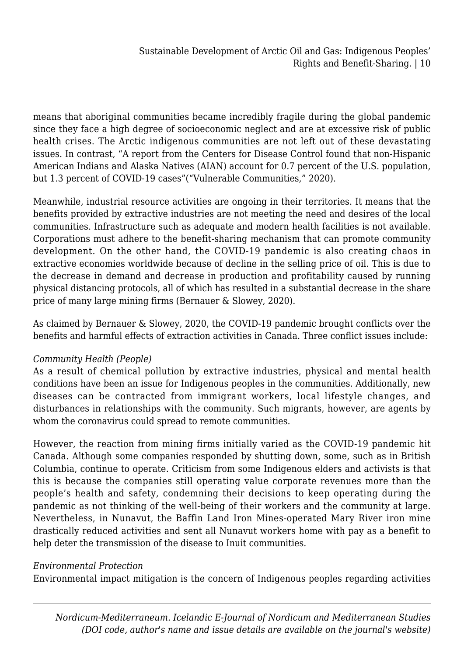means that aboriginal communities became incredibly fragile during the global pandemic since they face a high degree of socioeconomic neglect and are at excessive risk of public health crises. The Arctic indigenous communities are not left out of these devastating issues. In contrast, "A report from the Centers for Disease Control found that non-Hispanic American Indians and Alaska Natives (AIAN) account for 0.7 percent of the U.S. population, but 1.3 percent of COVID-19 cases"("Vulnerable Communities," 2020).

Meanwhile, industrial resource activities are ongoing in their territories. It means that the benefits provided by extractive industries are not meeting the need and desires of the local communities. Infrastructure such as adequate and modern health facilities is not available. Corporations must adhere to the benefit-sharing mechanism that can promote community development. On the other hand, the COVID-19 pandemic is also creating chaos in extractive economies worldwide because of decline in the selling price of oil. This is due to the decrease in demand and decrease in production and profitability caused by running physical distancing protocols, all of which has resulted in a substantial decrease in the share price of many large mining firms (Bernauer & Slowey, 2020).

As claimed by Bernauer & Slowey, 2020, the COVID-19 pandemic brought conflicts over the benefits and harmful effects of extraction activities in Canada. Three conflict issues include:

## *Community Health (People)*

As a result of chemical pollution by extractive industries, physical and mental health conditions have been an issue for Indigenous peoples in the communities. Additionally, new diseases can be contracted from immigrant workers, local lifestyle changes, and disturbances in relationships with the community. Such migrants, however, are agents by whom the coronavirus could spread to remote communities.

However, the reaction from mining firms initially varied as the COVID-19 pandemic hit Canada. Although some companies responded by shutting down, some, such as in British Columbia, continue to operate. Criticism from some Indigenous elders and activists is that this is because the companies still operating value corporate revenues more than the people's health and safety, condemning their decisions to keep operating during the pandemic as not thinking of the well-being of their workers and the community at large. Nevertheless, in Nunavut, the Baffin Land Iron Mines-operated Mary River iron mine drastically reduced activities and sent all Nunavut workers home with pay as a benefit to help deter the transmission of the disease to Inuit communities.

#### *Environmental Protection*

Environmental impact mitigation is the concern of Indigenous peoples regarding activities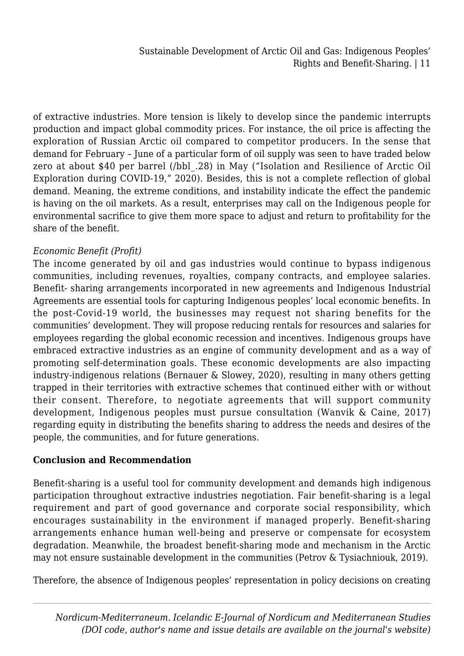of extractive industries. More tension is likely to develop since the pandemic interrupts production and impact global commodity prices. For instance, the oil price is affecting the exploration of Russian Arctic oil compared to competitor producers. In the sense that demand for February – June of a particular form of oil supply was seen to have traded below zero at about \$40 per barrel (/bbl\_.28) in May ("Isolation and Resilience of Arctic Oil Exploration during COVID-19," 2020). Besides, this is not a complete reflection of global demand. Meaning, the extreme conditions, and instability indicate the effect the pandemic is having on the oil markets. As a result, enterprises may call on the Indigenous people for environmental sacrifice to give them more space to adjust and return to profitability for the share of the benefit.

#### *Economic Benefit (Profit)*

The income generated by oil and gas industries would continue to bypass indigenous communities, including revenues, royalties, company contracts, and employee salaries. Benefit- sharing arrangements incorporated in new agreements and Indigenous Industrial Agreements are essential tools for capturing Indigenous peoples' local economic benefits. In the post-Covid-19 world, the businesses may request not sharing benefits for the communities' development. They will propose reducing rentals for resources and salaries for employees regarding the global economic recession and incentives. Indigenous groups have embraced extractive industries as an engine of community development and as a way of promoting self-determination goals. These economic developments are also impacting industry-indigenous relations (Bernauer & Slowey, 2020), resulting in many others getting trapped in their territories with extractive schemes that continued either with or without their consent. Therefore, to negotiate agreements that will support community development, Indigenous peoples must pursue consultation (Wanvik & Caine, 2017) regarding equity in distributing the benefits sharing to address the needs and desires of the people, the communities, and for future generations.

#### **Conclusion and Recommendation**

Benefit-sharing is a useful tool for community development and demands high indigenous participation throughout extractive industries negotiation. Fair benefit-sharing is a legal requirement and part of good governance and corporate social responsibility, which encourages sustainability in the environment if managed properly. Benefit-sharing arrangements enhance human well-being and preserve or compensate for ecosystem degradation. Meanwhile, the broadest benefit-sharing mode and mechanism in the Arctic may not ensure sustainable development in the communities (Petrov & Tysiachniouk, 2019).

Therefore, the absence of Indigenous peoples' representation in policy decisions on creating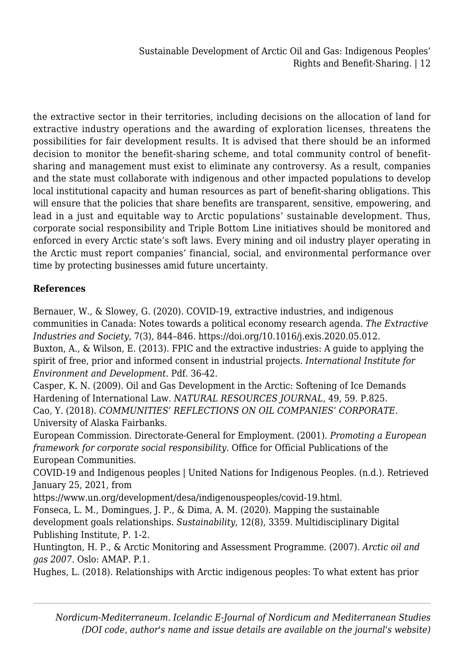the extractive sector in their territories, including decisions on the allocation of land for extractive industry operations and the awarding of exploration licenses, threatens the possibilities for fair development results. It is advised that there should be an informed decision to monitor the benefit-sharing scheme, and total community control of benefitsharing and management must exist to eliminate any controversy. As a result, companies and the state must collaborate with indigenous and other impacted populations to develop local institutional capacity and human resources as part of benefit-sharing obligations. This will ensure that the policies that share benefits are transparent, sensitive, empowering, and lead in a just and equitable way to Arctic populations' sustainable development. Thus, corporate social responsibility and Triple Bottom Line initiatives should be monitored and enforced in every Arctic state's soft laws. Every mining and oil industry player operating in the Arctic must report companies' financial, social, and environmental performance over time by protecting businesses amid future uncertainty.

## **References**

Bernauer, W., & Slowey, G. (2020). COVID-19, extractive industries, and indigenous communities in Canada: Notes towards a political economy research agenda. *The Extractive Industries and Society*, 7(3), 844–846. https://doi.org/10.1016/j.exis.2020.05.012. Buxton, A., & Wilson, E. (2013). FPIC and the extractive industries: A guide to applying the spirit of free, prior and informed consent in industrial projects. *International Institute for Environment and Development*. Pdf. 36-42.

Casper, K. N. (2009). Oil and Gas Development in the Arctic: Softening of Ice Demands Hardening of International Law. *NATURAL RESOURCES JOURNAL*, 49, 59. P.825. Cao, Y. (2018). *COMMUNITIES' REFLECTIONS ON OIL COMPANIES' CORPORATE*. University of Alaska Fairbanks.

European Commission. Directorate-General for Employment. (2001). *Promoting a European framework for corporate social responsibility*. Office for Official Publications of the European Communities.

COVID-19 and Indigenous peoples | United Nations for Indigenous Peoples. (n.d.). Retrieved January 25, 2021, from

https://www.un.org/development/desa/indigenouspeoples/covid-19.html.

Fonseca, L. M., Domingues, J. P., & Dima, A. M. (2020). Mapping the sustainable development goals relationships. *Sustainability*, 12(8), 3359. Multidisciplinary Digital Publishing Institute, P. 1-2.

Huntington, H. P., & Arctic Monitoring and Assessment Programme. (2007). *Arctic oil and gas 2007*. Oslo: AMAP. P.1.

Hughes, L. (2018). Relationships with Arctic indigenous peoples: To what extent has prior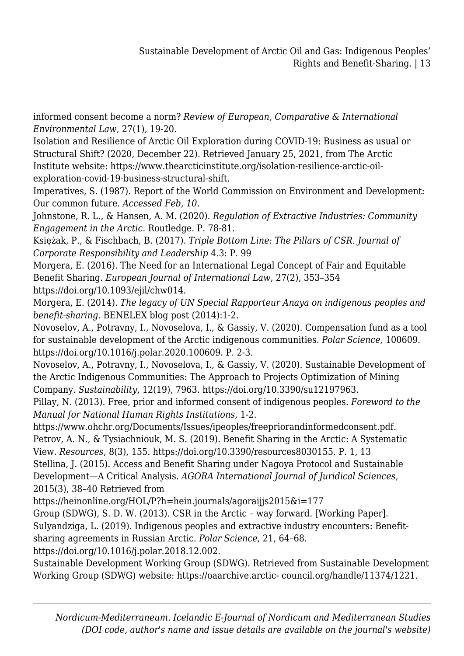informed consent become a norm? *Review of European, Comparative & International Environmental Law*, 27(1), 19-20.

Isolation and Resilience of Arctic Oil Exploration during COVID-19: Business as usual or Structural Shift? (2020, December 22). Retrieved January 25, 2021, from The Arctic Institute website: https://www.thearcticinstitute.org/isolation-resilience-arctic-oilexploration-covid-19-business-structural-shift.

Imperatives, S. (1987). Report of the World Commission on Environment and Development: Our common future. *Accessed Feb, 10.*

Johnstone, R. L., & Hansen, A. M. (2020). *Regulation of Extractive Industries: Community Engagement in the Arctic.* Routledge. P. 78-81.

Księżak, P., & Fischbach, B. (2017). *Triple Bottom Line: The Pillars of CSR. Journal of Corporate Responsibility and Leadership* 4.3: P. 99

Morgera, E. (2016). The Need for an International Legal Concept of Fair and Equitable Benefit Sharing. *European Journal of International Law*, 27(2), 353–354 https://doi.org/10.1093/ejil/chw014.

Morgera, E. (2014). *The legacy of UN Special Rapporteur Anaya on indigenous peoples and benefit-sharing*. BENELEX blog post (2014):1-2.

Novoselov, A., Potravny, I., Novoselova, I., & Gassiy, V. (2020). Compensation fund as a tool for sustainable development of the Arctic indigenous communities. *Polar Science,* 100609. https://doi.org/10.1016/j.polar.2020.100609. P. 2-3.

Novoselov, A., Potravny, I., Novoselova, I., & Gassiy, V. (2020). Sustainable Development of the Arctic Indigenous Communities: The Approach to Projects Optimization of Mining Company. *Sustainability*, 12(19), 7963. https://doi.org/10.3390/su12197963.

Pillay, N. (2013). Free, prior and informed consent of indigenous peoples. *Foreword to the Manual for National Human Rights Institutions*, 1-2.

https://www.ohchr.org/Documents/Issues/ipeoples/freepriorandinformedconsent.pdf. Petrov, A. N., & Tysiachniouk, M. S. (2019). Benefit Sharing in the Arctic: A Systematic View. *Resources*, 8(3), 155. https://doi.org/10.3390/resources8030155. P. 1, 13 Stellina, J. (2015). Access and Benefit Sharing under Nagoya Protocol and Sustainable Development—A Critical Analysis. *AGORA International Journal of Juridical Sciences*,

2015(3), 38–40 Retrieved from

https://heinonline.org/HOL/P?h=hein.journals/agoraijjs2015&i=177

Group (SDWG), S. D. W. (2013). CSR in the Arctic – way forward. [Working Paper]. Sulyandziga, L. (2019). Indigenous peoples and extractive industry encounters: Benefitsharing agreements in Russian Arctic. *Polar Science*, 21, 64–68.

https://doi.org/10.1016/j.polar.2018.12.002.

Sustainable Development Working Group (SDWG). Retrieved from Sustainable Development Working Group (SDWG) website: https://oaarchive.arctic- council.org/handle/11374/1221.